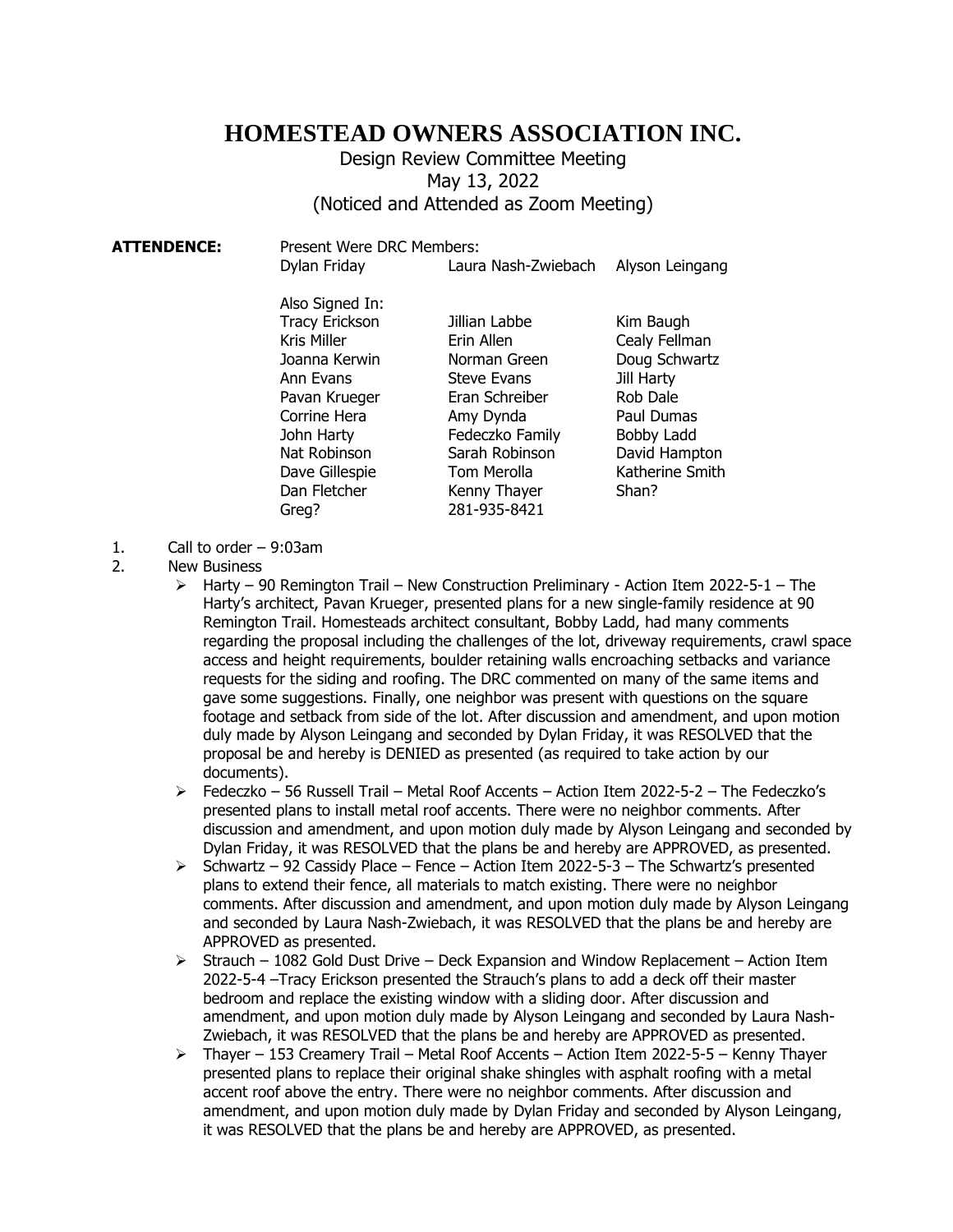## **HOMESTEAD OWNERS ASSOCIATION INC.**

## Design Review Committee Meeting May 13, 2022 (Noticed and Attended as Zoom Meeting)

| <b>ATTENDENCE:</b> | Present Were DRC Members: |                     |                 |
|--------------------|---------------------------|---------------------|-----------------|
|                    | Dylan Friday              | Laura Nash-Zwiebach | Alyson Leingang |
|                    | Also Signed In:           |                     |                 |
|                    | <b>Tracy Erickson</b>     | Jillian Labbe       | Kim Baugh       |
|                    | Kris Miller               | Erin Allen          | Cealy Fellman   |
|                    | Joanna Kerwin             | Norman Green        | Doug Schwartz   |
|                    | Ann Evans                 | <b>Steve Evans</b>  | Jill Harty      |
|                    | Pavan Krueger             | Eran Schreiber      | Rob Dale        |
|                    | Corrine Hera              | Amy Dynda           | Paul Dumas      |
|                    | John Harty                | Fedeczko Family     | Bobby Ladd      |
|                    | Nat Robinson              | Sarah Robinson      | David Hampton   |
|                    | Dave Gillespie            | Tom Merolla         | Katherine Smith |
|                    | Dan Fletcher              | Kenny Thayer        | Shan?           |
|                    | Greg?                     | 281-935-8421        |                 |

- 1. Call to order 9:03am
- 2. New Business
	- $\triangleright$  Harty 90 Remington Trail New Construction Preliminary Action Item 2022-5-1 The Harty's architect, Pavan Krueger, presented plans for a new single-family residence at 90 Remington Trail. Homesteads architect consultant, Bobby Ladd, had many comments regarding the proposal including the challenges of the lot, driveway requirements, crawl space access and height requirements, boulder retaining walls encroaching setbacks and variance requests for the siding and roofing. The DRC commented on many of the same items and gave some suggestions. Finally, one neighbor was present with questions on the square footage and setback from side of the lot. After discussion and amendment, and upon motion duly made by Alyson Leingang and seconded by Dylan Friday, it was RESOLVED that the proposal be and hereby is DENIED as presented (as required to take action by our documents).
	- ➢ Fedeczko 56 Russell Trail Metal Roof Accents Action Item 2022-5-2 The Fedeczko's presented plans to install metal roof accents. There were no neighbor comments. After discussion and amendment, and upon motion duly made by Alyson Leingang and seconded by Dylan Friday, it was RESOLVED that the plans be and hereby are APPROVED, as presented.
	- $\geq$  Schwartz 92 Cassidy Place Fence Action Item 2022-5-3 The Schwartz's presented plans to extend their fence, all materials to match existing. There were no neighbor comments. After discussion and amendment, and upon motion duly made by Alyson Leingang and seconded by Laura Nash-Zwiebach, it was RESOLVED that the plans be and hereby are APPROVED as presented.
	- $\geq$  Strauch 1082 Gold Dust Drive Deck Expansion and Window Replacement Action Item 2022-5-4 –Tracy Erickson presented the Strauch's plans to add a deck off their master bedroom and replace the existing window with a sliding door. After discussion and amendment, and upon motion duly made by Alyson Leingang and seconded by Laura Nash-Zwiebach, it was RESOLVED that the plans be and hereby are APPROVED as presented.
	- $\triangleright$  Thayer 153 Creamery Trail Metal Roof Accents Action Item 2022-5-5 Kenny Thayer presented plans to replace their original shake shingles with asphalt roofing with a metal accent roof above the entry. There were no neighbor comments. After discussion and amendment, and upon motion duly made by Dylan Friday and seconded by Alyson Leingang, it was RESOLVED that the plans be and hereby are APPROVED, as presented.